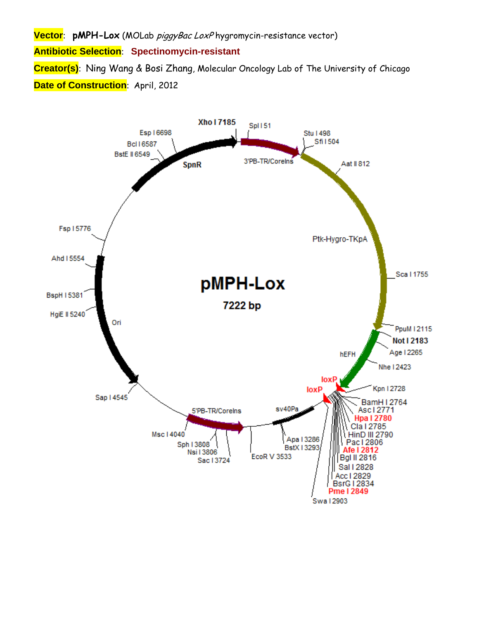**Vector**: **pMPH-Lox** (MOLab piggyBac LoxP hygromycin-resistance vector)

**Antibiotic Selection**: **Spectinomycin-resistant**

**Creator(s)**: Ning Wang & Bosi Zhang, Molecular Oncology Lab of The University of Chicago **Date of Construction: April, 2012** 

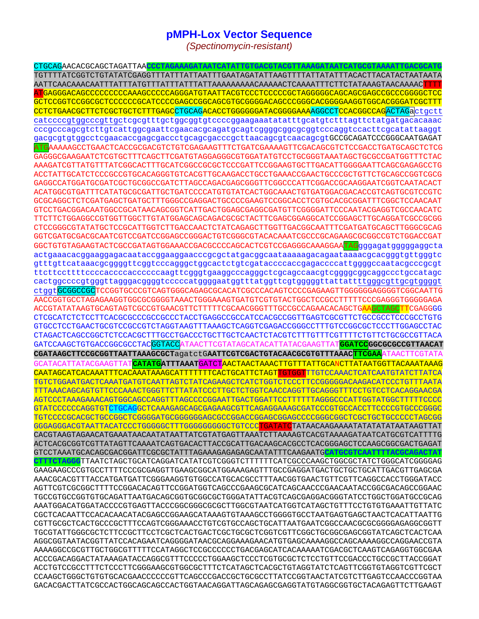## **pMPH-Lox Vector Sequence**

(Spectinomycin-resistant)

CTGCAGAACACGCAGCTAGATTAA<mark>CCCTAGAAAGATAATCATATTGTGACGTACGTTAAAGATAATCATGCGTAAAATTGACG</mark>G GCTCCGGTCCGGCGCTCCCCCCGCATCCCCGAGCCGGCAGCGTGCGGGACAGCCCGGGCACGGGGAAGGTGGCACGGGATCGCTTT CCTCTGAACGCTTCTCGCTGCTCTTTGAGCCTGCAGACACCTGGGGGGATACGGGGAAAAGGCCTCCACGGCCAGACTAGactqctt catccccgtggcccgttgctcgcgtttgctggcggtgtccccggaagaaatatatttgcatgtctttagttctatgatgacacaaac cccgcccagcgtcttgtcattggcgaattcgaacacgcagatgcagtcggggcggcggtcccaggtccacttcgcatattaaggt gacgcgtgtggcctcgaacaccgagcgaccctgcagcgacccgcttaacagcgtcaacagcgtGCCGCAGATCCCGGCAATGAGAT AAAAAGCCTGAACTCACCGCGACGTCTGTCGAGAAGTTTCTGATCGAAAAGTTCGACAGCGTCTCCGACCTGATGCAGCTCTCG GAGGGCGAAGAATCTCGTGCTTTCAGCTTCGATGTAGGAGGCGTGGATATGTCCTGCGGGTAAATAGCTGCGCCGATGGTTTCTAC AAAGATCGTTATGTTTATCGGCACTTTGCATCGGCCGCGCTCCCGATTCCGGAAGTGCTTGACATTGGGGAATTCAGCGAGAGCCTG GAGGCCATGGATGCGATCGCTGCGGCCGATCTTAGCCAGACGAGCGGGTTCGGCCCATTCGGACCGCAAGGAATCGGTCAATACACT GCGCAGGCTCTCGATGAGCTGATGCTTTGGGCCGAGGACTGCCCCGAAGTCCGGCACCTCGTGCACGCGGATTTCGGCTCCAACAAT GTCCTGACGGACAATGGCCGCATAACAGCGGTCATTGACTGGAGCGAGGCGATGTTCGGGGATTCCCAATACGAGGTCGCCAACATC TTCTTCTGGAGGCCGTGGTTGGCTTGTATGGAGCAGCAGACGCGCTACTTCGAGCGGAGGCATCCGGAGCTTGCAGGATCGCCGCGG CTCCGGGCGTATATGCTCCGCATTGGTCTTGACCAACTCTATCAGAGCTTGGTTGACGGCAATTTCGATGATGCAGCTTGGGCGCAG GGTCGATGCGACGCAATCGTCCGATCCGGAGCCGGGACTGTCGGGCGTACAAAATCGCCCGCAGAAGCGCGGCCGTCTGGACCGAT GGCTGTGTAGAAGTACTCGCCGATAGTGGAAACCGACGCCCCAGCACTCGTCCGAGGGCAAAGGAA<mark>TAG</mark>gggagatgggggaggcta actgaaacacggaaggagacaataccggaaggaacccgcgctatgacggcaataaaaagacagaataaaacgcacgggtgttgggtc gtttgttcataaacqcqqqqttcqqtcccaqqqctqqcactctqtcqataccccaccqaqaccccattqqqqccaatacqcccqcqt cactggccccgtgggttagggacggggtcccccatggggaatggtttatggttcgtgggggttattattttgggcgttgcgtggggt ctggtGCGGCCGCTCCGGTGCCCGTCAGTGGGCAGAGCGCACATCGCCCACAGTCCCCGAGAAGTTGGGGGGAGGGTCGGCAATTG AACCGGTGCCTAGAGAAGGTGGCGCGGGGTAAACTGGGAAAGTGATGTCGTGTACTGGCTCCGCCTTTTTCCCGAGGGTGGGGAGA ACCGTATATAAGTGCAGTAGTCGCCGTGAACGTTCTTTTTCGCAACGGGTTTGCCGCCAGAACACAGCTG<mark>AAGCTAGCTT</mark>CGAGGGG CTCGCATCTCTCCTTCACGCGCCCCCCCCCCTACCTGAGGCCGCCATCCACGCCGGTTGAGTCGCGTTCTGCCGCCTCCCGCCTGTG GTGCCTCCTGAACTGCGTCCGCCGTCTAGGTAAGTTTAAAGCTCAGGTCGAGACCGGGCCTTTGTCCGGCGCTCCCTTGGAGCCTAC GATCCAAGCTGTGACCGGCGCCTACCGTACCATAACTTCGTATAGCATACATTATACGAAGTTAT <mark>GGATCC</mark>GGCGCGCCGTTAACAT CGATAAGCTTCCGCGGTTAATTAAAGCGCTagatctGAATTCGTCGACTGTACAACGCGTGTTTAAAC<mark>TTCGAA</mark> F<mark>CATATG</mark>ATTTAAATGATCTAACTAACTAAACTTGTTTATTGCANCTTATAATGGTTACAAATAAAG **CATACATTATACGAAGTTAT** CAATAGCATCACAAATTTCACAAATAAAGCATTTTTTCACTGCATTCTAGTTGTGGTTTGTCCAAACTCATCAATGTATCTTATCA TGTCTGGAATGACTCAAATGATGTCAATTAGTCTATCAGAAGCTCATCTGGTCTCCCTTCCGGGGGACAAGACATCCCTGTTTAATA TTTAAACAGCAGTGTTCCCAAACTGGGTTCTTATATCCCTTGCTCTGGTCAACCAGGTTGCAGGGTTTCCTGTCCTCACAGGAACGA AGTCCCTAAAGAAACAGTGGCAGCCAGGTTTAGCCCCGGAATTGACTGGATTCCTTTTTTAGGGCCCATTGGTATGGCTTTTTCCCC GTATCCCCCCAGGTGTCTGCAGGCTCAAAGAGCAGCGAGAAGCGTTCAGAGGAAAGCGATCCCGTGCCACCTTCCCCGTGCCCGGGC CACGTAAGTAGAACATGAAATAACAATATAATTATCGTATGAGTTAAATCTTAAAAGTCACGTAAAAGATAATCATGCGTCATTTTG ACTCACGCGGTCGTTATAGTTCAAAATCAGTGACACTTACCGCATTGACAAGCACGCCTCACGGGAGCTCCAAGCGGCGACTGAGAT **TTTTCTAGGG**TTAATCTAGCTGCATCAGGATCATATCGTCGGGTCTTTTTTCATCGCCCAAGCTGGCGCTATCTGGGCATCGGGGAG GAAGAAGCCCGTGCCTTTTCCCGCGAGGTTGAAGCGGCATGGAAAGAGTTTGCCGAGGATGACTGCTGCTGCATTGACGTTGAGCGA AAACGARAADA TERRATI AAAA TERRATI AAAA TERRATI AAAA HADADA AAAAA AAAAA DEGGARAA DEGGARAA DEGGARAA TERRATI AAA A AGTTCGTCGGGGCTTTTCCGGACACAGTTCCGGATGGTCAGCCCGAAGCGCATCAGCAACCCGAACAATACCGGCGACAGCCGGAAC AAATGGACATGGATACCCCGTGAGTTACCCGGCGGGCGCGCTTGGCGTAATCATGGTCATAGCTGTTTCCTGTGTGAAATTGTTATC CGTTGCGCTCACTGCCCGCTTTCCAGTCGGGAAACCTGTCGTGCCAGCTGCATTAATGAATCGGCCAACGCGGGGGAGAGGCGGTT AAAAGGCCGCGTTGCTGGCGTTTTTCCATAGGCTCCGCCCCCCTGACGAGCATCACAAAAATCGACGCTCAAGTCAGAGGTGGCGAA ACCCGACAGGACTATAAAGATACCAGGCGTTTCCCCCTGGAAGCTCCCTCGTGCGCTCTCCTGTTCCGACCCTGCCGCTTACCGGAT ACCTGTCCGCCTTTCTCCCTTCGGGAAGCGTGGCGCTTTCTCATAGCTCACGCTGTAGGTATCTCAGTTCGGTGTAGGTCGTTCGCT CCAAGCTGGGCTGTGTGCACGAACCCCCCGTTCAGCCCGACCGCTGCGCCTTATCCGGTAACTATCGTCTTGAGTCCAACCCGGTAA GACACGACTTATCGCCACTGGCAGCAGCCACTGGTAACAGGATTAGCAGAGCGAGGTATGTAGGCGGTGCTACAGAGTTCTTGAAGT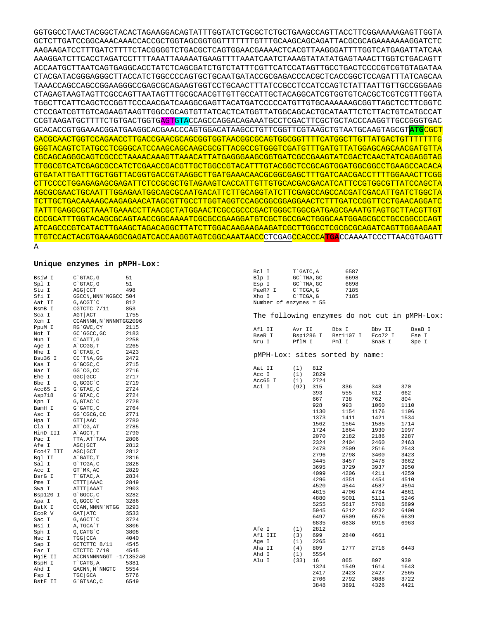GGTGGCCTAACTACGGCTACACTAGAAGGACAGTATTTGGTATCTGCGCTCTGCTGAAGCCAGTTACCTTCGGAAAAAGAGTTGGTA GCTCTTGATCCGGCAAACAAACCACCGCTGGTAGCGGTGGTTTTTTTGTTTGCAAGCAGCAGATTACGCGCAGAAAAAAAGGATCTC AAGAAGATCCTTTGATCTTTTCTACGGGGTCTGACGCTCAGTGGAACGAAAACTCACGTTAAGGGATTTTGGTCATGAGATTATCAA AAAGGATCTTCACCTAGATCCTTTTAAATTAAAAATGAAGTTTTAAATCAATCTAAAGTATATATGAGTAAACTTGGTCTGACAGTT ACCAATGCTTAATCAGTGAGGCACCTATCTCAGCGATCTGTCTATTTCGTTCATCCATAGTTGCCTGACTCCCCGTCGTGTAGATAA CTACGATACGGGAGGGCTTACCATCTGGCCCCAGTGCTGCAATGATACCGCGAGACCCACGCTCACCGGCTCCAGATTTATCAGCAA TAAACCAGCCAGCCGGAAGGGCCGAGCGCAGAAGTGGTCCTGCAACTTTATCCGCCTCCATCCAGTCTATTAATTGTTGCCGGGAAG CTAGAGTAAGTAGTTCGCCAGTTAATAGTTTGCGCAACGTTGTTGCCATTGCTACAGGCATCGTGGTGTCACGCTCGTCGTTTGGTA TGGCTTCATTCAGCTCCGGTTCCCAACGATCAAGGCGAGTTACATGATCCCCCATGTTGTGCAAAAAAGCGGTTAGCTCCTTCGGTC CTCCGATCGTTGTCAGAAGTAAGTTGGCCGCAGTGTTATCACTCATGGTTATGGCAGCACTGCATAATTCTCTTACTGTCATGCCAT CCGTAAGATGCTTTTCTGTGACTGGTG<mark>AGT</mark>GTACCAGCCAGGACAGAAATGCCTCGACTTCGCTGCTACCCAAGGTTGCCGGGTGAC GCACACCGTGGAAACGGATGAAGGCACGAACCCAGTGGACATAAGCCTGTTCGGTTCGTAAGCTGTAATGCAAGTAGCGT**ATG**CGCT CACGCAACTGGTCCAGAACCTTGACCGAACGCAGCGGTGGTAACGGCGCAGTGGCGGTTTTCATGGCTTGTTATGACTGTTTTTTTG GGGTACAGTCTATGCCTCGGGCATCCAAGCAGCAAGCGCGTTACGCCGTGGGTCGATGTTTGATGTTATGGAGCAGCAACGATGTTA CGCAGCAGGGCAGTCGCCCTAAAACAAAGTTAAACATTATGAGGGAAGCGGTGATCGCCGAAGTATCGACTCAACTATCAGAGGTAG TTGGCGTCATCGAGCGCCATCTCGAACCGACGTTGCTGGCCGTACATTTGTACGGCTCCGCAGTGGATGGCGGCCTGAAGCCACACA GTGATATTGATTTGCTGGTTACGGTGACCGTAAGGCTTGATGAAACAACGCGGCGAGCTTTGATCAACGACCTTTTGGAAACTTCGG CTTCCCCTGGAGAGAGCGAGATTCTCCGCGCTGTAGAAGTCACCATTGTTGTGCACGACGACATCATTCCGTGGCGTTATCCAGCTA AGCGCGAACTGCAATTTGGAGAATGGCAGCGCAATGACATTCTTGCAGGTATCTTCGAGCCAGCCACGATCGACATTGATCTGGCTA TCTTGCTGACAAAAGCAAGAGAACATAGCGTTGCCTTGGTAGGTCCAGCGGCGGAGGAACTCTTTGATCCGGTTCCTGAACAGGATC TATTTGAGGCGCTAAATGAAACCTTAACGCTATGGAACTCGCCGCCCGACTGGGCTGGCGATGAGCGAAATGTAGTGCTTACGTTGT CCCGCATTTGGTACAGCGCAGTAACCGGCAAAATCGCGCCGAAGGATGTCGCTGCCGACTGGGCAATGGAGCGCCTGCCGGCCCAGT ATCAGCCCGTCATACTTGAAGCTAGACAGGCTTATCTTGGACAAGAAGAAGATCGCTTGGCCTCGCGCGCAGATCAGTTGGAAGAAT TTGTCCACTACGTGAAAGGCGAGATCACCAAGGTAGTCGGCAAATAACCCTCGAGCCACCCA**TGA**CCAAAATCCCTTAACGTGAGTT A

## **Unique enzymes in pMPH-Lox:**

|                   |                        |      | Bcl I                  | T GATC, A   |      | 6587                            |         |                                               |
|-------------------|------------------------|------|------------------------|-------------|------|---------------------------------|---------|-----------------------------------------------|
| BsiW I            | C`GTAC, G              | 51   | Blp I                  | GC `TNA, GC |      | 6698                            |         |                                               |
| Spl I             | $C$ $GTAC$ , $G$       | 51   | Esp I                  | GC `TNA, GC |      | 6698                            |         |                                               |
| Stu I             | AGG CCT                | 498  | PaeR7 I                | $C$ TCGA, G |      | 7185                            |         |                                               |
| Sfi I             | GGCCN, NNN NGGCC 504   |      | Xho I                  | $C$ TCGA, G |      | 7185                            |         |                                               |
| Aat II            | G, ACGT `C             | 812  | Number of enzymes = 55 |             |      |                                 |         |                                               |
| BsmB I            | CGTCTC 7/11            | 853  |                        |             |      |                                 |         |                                               |
| Sca I             | AGT ACT                | 1755 |                        |             |      |                                 |         | The following enzymes do not cut in pMPH-Lox: |
| Xcm I             | CCANNNN, N`NNNNTGG2096 |      |                        |             |      |                                 |         |                                               |
| PpuM I            | RG`GWC, CY             | 2115 | Afl II                 | Avr II      |      | Bbs I                           | Bbv II  | BsaB I                                        |
| Not I             | GC GGCC, GC            | 2183 | BseR I                 | Bsp1286 I   |      | Bst1107 I                       | Eco72 I | Fse I                                         |
| Mun I             | C`AATT, G              | 2258 | Nru I                  | PflM I      |      | Pml I                           | SnaB I  | Spe I                                         |
| Age I             | A`CCGG, T              | 2265 |                        |             |      |                                 |         |                                               |
| Nhe I             | G`CTAG, C              | 2423 |                        |             |      |                                 |         |                                               |
| Bsu36 I           | CC TNA, GG             | 2472 |                        |             |      | pMPH-Lox: sites sorted by name: |         |                                               |
| Kas I             | G`GCGC, C              | 2715 |                        |             |      |                                 |         |                                               |
| Nar I             | GG CG, CC              | 2716 | Aat II                 | (1)         | 812  |                                 |         |                                               |
| Ehe I             | GGC GCC                | 2717 | Acc I                  | (1)         | 2829 |                                 |         |                                               |
| Bbe I             | G, GCGC C              | 2719 | Acc65 I                | (1)         | 2724 |                                 |         |                                               |
| Acc65 I           | G`GTAC, C              | 2724 | Aci I                  | (92)        | 315  | 336                             | 348     | 370                                           |
| Asp718            | $G$ $GTAC$ , $C$       | 2724 |                        |             | 393  | 555                             | 612     | 662                                           |
| Kpn I             | G, GTAC `C             | 2728 |                        |             | 667  | 738                             | 762     | 804                                           |
| BamH I            | G`GATC, C              | 2764 |                        |             | 928  | 993                             | 1060    | 1110                                          |
| Asc I             | GG`CGCG, CC            | 2771 |                        |             | 1130 | 1154                            | 1176    | 1196                                          |
| Hpa I             | GTT   AAC              | 2780 |                        |             | 1373 | 1411                            | 1421    | 1534                                          |
|                   | AT CG, AT              | 2785 |                        |             | 1562 | 1564                            | 1585    | 1714                                          |
| Cla I<br>HinD III | A`AGCT, T              | 2790 |                        |             | 1724 | 1864                            | 1930    | 1997                                          |
|                   |                        | 2806 |                        |             | 2070 | 2182                            | 2186    | 2287                                          |
| Pac I             | TTA, AT`TAA<br>AGC GCT | 2812 |                        |             | 2324 | 2404                            | 2460    | 2463                                          |
| Afe I             |                        |      |                        |             | 2478 | 2509                            | 2516    | 2543                                          |
| Eco47 III         | AGC GCT                | 2812 |                        |             | 2796 | 2798                            | 3400    | 3423                                          |
| Bgl II            | A GATC, T              | 2816 |                        |             | 3445 | 3457                            | 3478    | 3662                                          |
| Sal I             | G`TCGA, C              | 2828 |                        |             | 3695 | 3729                            | 3937    | 3950                                          |
| Acc I             | GT `MK, AC             | 2829 |                        |             | 4099 | 4206                            | 4211    | 4259                                          |
| BsrG I            | T`GTAC, A              | 2834 |                        |             | 4296 | 4351                            | 4454    | 4510                                          |
| Pme I             | CTTT AAAC              | 2849 |                        |             | 4520 | 4544                            | 4587    | 4594                                          |
| Swa I             | ATTT   AAAT            | 2903 |                        |             | 4615 | 4706                            | 4734    | 4861                                          |
| Bsp120 I          | G`GGCC, C              | 3282 |                        |             | 4880 | 5001                            | 5111    | 5246                                          |
| Apa I             | G, GGCC `C             | 3286 |                        |             | 5255 | 5617                            | 5708    | 5899                                          |
| BstX I            | CCAN, NNNN `NTGG       | 3293 |                        |             | 5945 | 6212                            | 6232    | 6400                                          |
| ECOR V            | GAT ATC                | 3533 |                        |             | 6497 | 6509                            | 6576    | 6639                                          |
| Sac I             | G, AGCT `C             | 3724 |                        |             | 6835 | 6838                            | 6916    | 6963                                          |
| Nsi I             | A, TGCA`T              | 3806 | Afe I                  | (1)         | 2812 |                                 |         |                                               |
| Sph I             | G, CATG C              | 3808 | Afl III                | (3)         | 699  | 2840                            | 4661    |                                               |
| Msc I             | TGG   CCA              | 4040 | Age I                  | (1)         | 2265 |                                 |         |                                               |
| Sap I             | GCTCTTC 8/11           | 4545 | Aha II                 | (4)         | 809  | 1777                            | 2716    | 6443                                          |
| Ear I             | CTCTTC 7/10            | 4545 | Ahd I                  |             | 5554 |                                 |         |                                               |
| HgiE II           | ACCNNNNNNGGT -1/135240 |      | Alu I                  | (1)<br>(33) | 16   | 865                             | 897     | 939                                           |
| BspH I            | T CATG, A              | 5381 |                        |             | 1324 | 1549                            | 1614    | 1643                                          |
| Ahd I             | GACNN, N`NNGTC         | 5554 |                        |             | 2417 | 2423                            | 2427    | 2565                                          |
| Fsp I             | TGC GCA                | 5776 |                        |             | 2706 | 2792                            | 3088    | 3722                                          |
| BstE II           | G`GTNAC, C             | 6549 |                        |             |      | 3891                            |         |                                               |
|                   |                        |      |                        |             | 3848 |                                 | 4326    | 4421                                          |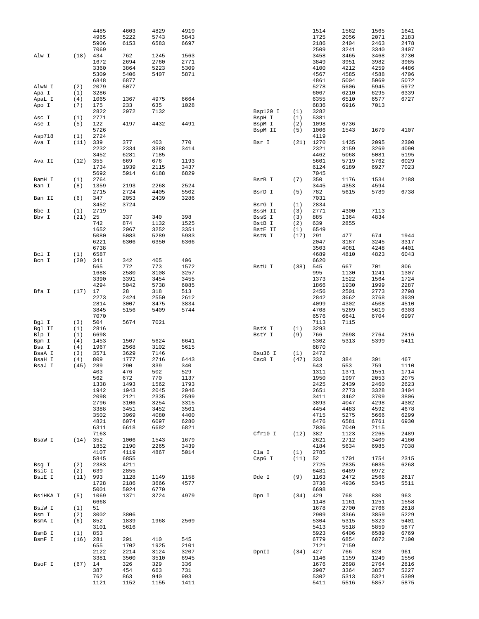|                 |             | 4485         | 4603        | 4829         | 4919         |                   |            | 1514         | 1562         | 1565         | 1641         |
|-----------------|-------------|--------------|-------------|--------------|--------------|-------------------|------------|--------------|--------------|--------------|--------------|
|                 |             | 4965         | 5222        | 5743         | 5843         |                   |            | 1725         | 2056         | 2071         | 2183         |
|                 |             | 5906         | 6153        | 6583         | 6697         |                   |            | 2186         | 2404         | 2463         | 2478         |
|                 |             | 7069         |             |              |              |                   |            | 2509         | 3241         | 3340         | 3407         |
| Alw I           | (18)        | 434<br>1672  | 762<br>2694 | 1245         | 1563<br>2771 |                   |            | 3458<br>3849 | 3465<br>3951 | 3468<br>3982 | 3730         |
|                 |             | 3360         | 3864        | 2760<br>5223 | 5309         |                   |            | 4100         | 4212         | 4259         | 3985<br>4486 |
|                 |             | 5309         | 5406        | 5407         | 5871         |                   |            | 4567         | 4585         | 4588         | 4706         |
|                 |             | 6848         | 6877        |              |              |                   |            | 4861         | 5004         | 5069         | 5072         |
| AlwN I          | (2)         | 2079         | 5077        |              |              |                   |            | 5278         | 5606         | 5945         | 5972         |
| Apa I           | (1)         | 3286         |             |              |              |                   |            | 6067         | 6210         | 6295         | 6339         |
| ApaL I          | (4)         | 1065         | 1367        | 4975         | 6664         |                   |            | 6355         | 6510         | 6577         | 6727         |
| Apo I           | (7)         | 175          | 233         | 635          | 1028         |                   |            | 6836         | 6916         | 7013         |              |
|                 |             | 2822         | 2972        | 7132         |              | Bsp120 I          | (1)        | 3282         |              |              |              |
| Asc I           | (1)         | 2771         |             |              |              | BspH I            | (1)        | 5381         |              |              |              |
| Ase I           | (5)         | 122          | 4197        | 4432         | 4491         | BspM I            | (2)        | 1098         | 6736         |              |              |
|                 |             | 5726<br>2724 |             |              |              | BspM II           | (5)        | 1006<br>4119 | 1543         | 1679         | 4107         |
| Asp718<br>Ava I | (1)<br>(11) | 339          | 377         | 403          | 770          | Bsr I             | (21)       | 1270         | 1435         | 2095         | 2300         |
|                 |             | 2232         | 2334        | 3388         | 3414         |                   |            | 2321         | 3159         | 3269         | 4090         |
|                 |             | 3452         | 6281        | 7185         |              |                   |            | 4462         | 5068         | 5081         | 5195         |
| Ava II          | (12)        | 355          | 669         | 676          | 1193         |                   |            | 5601         | 5719         | 5762         | 6029         |
|                 |             | 1734         | 1939        | 2115         | 3437         |                   |            | 6124         | 6189         | 6927         | 7023         |
|                 |             | 5692         | 5914        | 6188         | 6829         |                   |            | 7045         |              |              |              |
| BamH I          | (1)         | 2764         |             |              |              | BsrB I            | (7)        | 350          | 1176         | 1534         | 2188         |
| Ban I           | (8)         | 1359         | 2193        | 2268         | 2524         |                   |            | 3445         | 4353         | 4594         |              |
|                 |             | 2715         | 2724        | 4405         | 5502         | BsrD I            | (5)        | 782          | 5615         | 5789         | 6738         |
| Ban II          | (6)         | 347          | 2053        | 2439         | 3286         |                   |            | 7031         |              |              |              |
| Bbe I           |             | 3452<br>2719 | 3724        |              |              | BsrG I            | (1)        | 2834<br>2771 | 4300         | 7113         |              |
| Bbv I           | (1)<br>(21) | 25           | 337         | 340          | 398          | BssH II<br>BssS I | (3)<br>(3) | 885          | 1364         | 4834         |              |
|                 |             | 742          | 874         | 1132         | 1525         | BstB I            | (2)        | 639          | 2855         |              |              |
|                 |             | 1652         | 2067        | 3252         | 3351         | BstE II           | (1)        | 6549         |              |              |              |
|                 |             | 5080         | 5083        | 5289         | 5983         | BstN I            | (17)       | 291          | 477          | 674          | 1944         |
|                 |             | 6221         | 6306        | 6350         | 6366         |                   |            | 2047         | 3187         | 3245         | 3317         |
|                 |             | 6738         |             |              |              |                   |            | 3503         | 4081         | 4248         | 4401         |
| Bcl I           | (1)         | 6587         |             |              |              |                   |            | 4689         | 4810         | 4823         | 6043         |
| Bcn I           | (20)        | 341          | 342         | 405          | 406          |                   |            | 6620         |              |              |              |
|                 |             | 565          | 772         | 773          | 1572         | BstU I            | (38)       | 545          | 667          | 701          | 806          |
|                 |             | 1688         | 2580        | 3108         | 3257         |                   |            | 995          | 1130         | 1241         | 1307         |
|                 |             | 3390         | 3391        | 3454         | 3455         |                   |            | 1373         | 1522         | 1564         | 1724         |
|                 |             | 4294         | 5042        | 5738         | 6085         |                   |            | 1866         | 1930<br>2501 | 1999<br>2773 | 2287         |
| Bfa I           | (17)        | 17<br>2273   | 28<br>2424  | 318<br>2550  | 513<br>2612  |                   |            | 2456<br>2842 | 3662         | 3768         | 2798<br>3939 |
|                 |             | 2814         | 3007        | 3475         | 3834         |                   |            | 4099         | 4302         | 4508         | 4510         |
|                 |             | 3845         | 5156        | 5409         | 5744         |                   |            | 4708         | 5289         | 5619         | 6303         |
|                 |             | 7070         |             |              |              |                   |            | 6576         | 6641         | 6704         | 6997         |
| Bgl I           | (3)         | 504          | 5674        | 7021         |              |                   |            | 7113         | 7115         |              |              |
| Bgl II          | (1)         | 2816         |             |              |              | BstX I            | (1)        | 3293         |              |              |              |
| Blp I           | (1)         | 6698         |             |              |              | BstY I            | (9)        | 766          | 2698         | 2764         | 2816         |
| Bpm I           | (4)         | 1453         | 1507        | 5624         | 6641         |                   |            | 5302         | 5313         | 5399         | 5411         |
| Bsa I           | (4)         | 1967         | 2568        | 3102         | 5615         |                   |            | 6870         |              |              |              |
| BsaA I          | (3)         | 3571         | 3629        | 7146         |              | Bsu36 I           | (1)        | 2472         |              |              |              |
| BsaH I          | (4)         | 809          | 1777        | 2716         | 6443         | Cac8 I            | (47)       | 333          | 384          | 391          | 467          |
| BsaJ I          | (45)        | 289<br>403   | 290<br>476  | 339<br>502   | 340<br>529   |                   |            | 543<br>1311  | 553<br>1371  | 759<br>1551  | 1110<br>1714 |
|                 |             | 562          | 672         | 770          | 1137         |                   |            | 1950         | 1997         | 2053         | 2075         |
|                 |             | 1338         | 1493        | 1562         | 1793         |                   |            | 2425         | 2439         | 2460         | 2623         |
|                 |             | 1942         | 1943        | 2045         | 2046         |                   |            | 2651         | 2773         | 3328         | 3404         |
|                 |             | 2098         | 2121        | 2335         | 2599         |                   |            | 3411         | 3462         | 3709         | 3806         |
|                 |             | 2796         | 3106        | 3254         | 3315         |                   |            | 3893         | 4047         | 4298         | 4302         |
|                 |             | 3388         | 3451        | 3452         | 3501         |                   |            | 4454         | 4483         | 4592         | 4678         |
|                 |             | 3502         | 3969        | 4080         | 4400         |                   |            | 4715         | 5275         | 5666         | 6299         |
|                 |             | 4821         | 6074        | 6097         | 6280         |                   |            | 6476         | 6581         | 6761         | 6930         |
|                 |             | 6311         | 6618        | 6682         | 6821         |                   |            | 7036         | 7040         | 7115         |              |
| BsaW I          | (14)        | 7163<br>352  | 1006        | 1543         | 1679         | Cfr10 I           | (12) 382   | 2621         | 1123<br>2712 | 2265<br>3409 | 2489<br>4160 |
|                 |             | 1852         | 2190        | 2265         | 3439         |                   |            | 4184         | 5634         | 6985         | 7038         |
|                 |             | 4107         | 4119        | 4867         | 5014         | Cla I             | (1)        | 2785         |              |              |              |
|                 |             | 5845         | 6855        |              |              | Csp6 I            | (11)       | 52           | 1701         | 1754         | 2315         |
| Bsg I           | (2)         | 2383         | 4211        |              |              |                   |            | 2725         | 2835         | 6035         | 6268         |
| BsiC I          | (2)         | 639          | 2855        |              |              |                   |            | 6481         | 6489         | 6972         |              |
| BsiE I          | (11)        | 993          | 1128        | 1149         | 1158         | Dde I             | (9)        | 1163         | 2472         | 2566         | 2617         |
|                 |             | 1728         | 2186        | 3666         | 4577         |                   |            | 3736         | 4936         | 5345         | 5511         |
|                 |             | 5001         | 5924        | 6770         |              |                   |            | 6698         |              |              |              |
| BsiHKA I        | (5)         | 1069         | 1371        | 3724         | 4979         | Dpn I             | $(34)$ 429 |              | 768          | 830          | 963          |
|                 |             | 6668         |             |              |              |                   |            | 1148         | 1161         | 1251         | 1558         |
| BsiW I          | (1)         | 51           |             |              |              |                   |            | 1678         | 2700         | 2766         | 2818         |
| Bsm I           | (2)         | 3002         | 3806        |              |              |                   |            | 2909<br>5304 | 3366         | 3859         | 5229         |
| BsmA I          | (6)         | 852          | 1839        | 1968         | 2569         |                   |            |              | 5315         | 5323         | 5401         |
| BsmB I          | (1)         | 3101<br>853  | 5616        |              |              |                   |            | 5413<br>5923 | 5518<br>6406 | 5859<br>6589 | 5877<br>6769 |
| BsmF I          | (16)        | 281          | 291         | 410          | 545          |                   |            | 6779         | 6854         | 6872         | 7100         |
|                 |             | 655          | 1702        | 1925         | 2101         |                   |            | 7121         | 7159         |              |              |
|                 |             | 2122         | 2214        | 3124         | 3207         | DpnII             | (34)       | 427          | 766          | 828          | 961          |
|                 |             | 3381         | 3500        | 3510         | 6945         |                   |            | 1146         | 1159         | 1249         | 1556         |
| BsoF I          | (67)        | 14           | 326         | 329          | 336          |                   |            | 1676         | 2698         | 2764         | 2816         |
|                 |             | 387          | 454         | 663          | 731          |                   |            | 2907         | 3364         | 3857         | 5227         |
|                 |             | 762          | 863         | 940          | 993          |                   |            | 5302         | 5313         | 5321         | 5399         |
|                 |             | 1121         | 1152        | 1155         | 1411         |                   |            | 5411         | 5516         | 5857         | 5875         |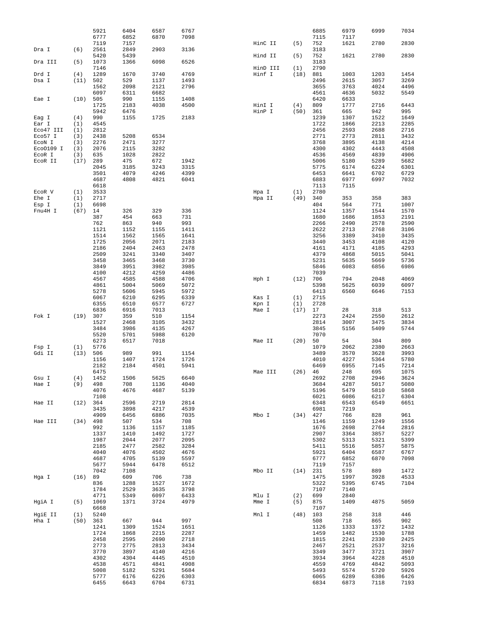|                     |            | 5921         | 6404         | 6587         | 6767         |          |            | 6885         | 6979         | 6999         | 7034         |
|---------------------|------------|--------------|--------------|--------------|--------------|----------|------------|--------------|--------------|--------------|--------------|
|                     |            | 6777         | 6852         | 6870         | 7098         |          |            | 7115         | 7117         |              |              |
|                     |            | 7119         | 7157         |              |              | HinC II  | (5)        | 752          | 1621         | 2780         | 2830         |
| Dra I               | (6)        | 2561         | 2849         | 2903         | 3136         |          |            | 3183         |              |              |              |
|                     |            | 5420         | 5439         |              |              | Hind II  | (5)        | 752          | 1621         | 2780         | 2830         |
| Dra III             | (5)        | 1073         | 1366         | 6098         | 6526         |          |            | 3183         |              |              |              |
|                     |            | 7146         |              |              |              | HinD III | (1)        | 2790         |              |              |              |
| Drd I               | (4)        | 1289         | 1670         | 3740         | 4769         | Hinf I   | (18)       | 881          | 1003         | 1203         | 1454         |
| Dsa I               | (11)       | 502          | 529          | 1137         | 1493         |          |            | 2496         | 2615         | 3057         | 3269         |
|                     |            | 1562         | 2098         | 2121         | 2796         |          |            | 3655         | 3763         | 4024         | 4496         |
|                     |            | 6097         | 6311         | 6682         |              |          |            | 4561         | 4636         | 5032         | 5549         |
| Eae I               | (10)       | 505          | 990          | 1155         | 1408         |          |            | 6420         | 6633         |              |              |
|                     |            | 1725         | 2183         | 4038         | 4500         | HinI I   | (4)        | 809          | 1777         | 2716         | 6443         |
|                     |            | 5942         | 6476         |              |              | HinP I   | (50)       | 361          | 665          | 942          | 995          |
| Eag I               | (4)        | 990          | 1155         | 1725         | 2183         |          |            | 1239         | 1307         | 1522         | 1649         |
| Ear I               | (1)        | 4545         |              |              |              |          |            | 1722         | 1866         | 2213         | 2285         |
| Eco47 III           | (1)        | 2812         |              |              |              |          |            | 2456         | 2593         | 2688         | 2716         |
| Eco57 I             | (3)        | 2438         | 5208         | 6534         |              |          |            | 2771         | 2773         | 2811         | 3432         |
| ECON I              | (3)        | 2276<br>2076 | 2471<br>2115 | 3277<br>3282 |              |          |            | 3768<br>4300 | 3895<br>4302 | 4138<br>4443 | 4214<br>4508 |
| Eco0109 I<br>ECOR I | (3)<br>(3) | 635          | 1028         | 2822         |              |          |            | 4536         | 4569         | 4839         | 4906         |
| ECOR II             | (17)       | 289          | 475          | 672          | 1942         |          |            | 5006         | 5180         | 5289         | 5682         |
|                     |            | 2045         | 3185         | 3243         | 3315         |          |            | 5775         | 6174         | 6224         | 6301         |
|                     |            | 3501         | 4079         | 4246         | 4399         |          |            | 6453         | 6641         | 6702         | 6729         |
|                     |            | 4687         | 4808         | 4821         | 6041         |          |            | 6883         | 6977         | 6997         | 7032         |
|                     |            | 6618         |              |              |              |          |            | 7113         | 7115         |              |              |
| ECOR V              | (1)        | 3533         |              |              |              | Hpa I    | (1)        | 2780         |              |              |              |
| Ehe I               | (1)        | 2717         |              |              |              | Hpa II   | (49)       | 340          | 353          | 358          | 383          |
| Esp I               | (1)        | 6698         |              |              |              |          |            | 404          | 564          | 771          | 1007         |
| Fnu4H I             | (67)       | 14           | 326          | 329          | 336          |          |            | 1124         | 1357         | 1544         | 1570         |
|                     |            | 387          | 454          | 663          | 731          |          |            | 1680         | 1686         | 1853         | 2191         |
|                     |            | 762          | 863          | 940          | 993          |          |            | 2266         | 2490         | 2578         | 2590         |
|                     |            | 1121         | 1152         | 1155         | 1411         |          |            | 2622         | 2713         | 2768         | 3106         |
|                     |            | 1514         | 1562         | 1565         | 1641         |          |            | 3256         | 3389         | 3410         | 3435         |
|                     |            | 1725         | 2056         | 2071         | 2183         |          |            | 3440         | 3453         | 4108         | 4120         |
|                     |            | 2186         | 2404         | 2463         | 2478         |          |            | 4161         | 4171         | 4185         | 4293         |
|                     |            | 2509         | 3241         | 3340         | 3407         |          |            | 4379         | 4868         | 5015         | 5041         |
|                     |            | 3458         | 3465         | 3468         | 3730         |          |            | 5231         | 5635         | 5669         | 5736         |
|                     |            | 3849         | 3951         | 3982         | 3985         |          |            | 5846         | 6083         | 6856         | 6986         |
|                     |            | 4100         | 4212         | 4259         | 4486         |          |            | 7039         |              |              |              |
|                     |            | 4567         | 4585         | 4588         | 4706         | Hph I    | (12)       | 706          | 794          | 2048         | 4069         |
|                     |            | 4861         | 5004         | 5069         | 5072         |          |            | 5398         | 5625         | 6039         | 6097         |
|                     |            | 5278         | 5606         | 5945         | 5972         |          |            | 6413         | 6560         | 6646         | 7153         |
|                     |            | 6067         | 6210         | 6295         | 6339         | Kas I    | (1)        | 2715         |              |              |              |
|                     |            | 6355         | 6510         | 6577         | 6727         | Kpn I    | (1)        | 2728         |              |              |              |
|                     |            | 6836         | 6916         | 7013         |              | Mae I    | (17)       | 17           | 28           | 318          | 513          |
| Fok I               | (19)       | 307          | 359          | 510          | 1154         |          |            | 2273         | 2424         | 2550         | 2612         |
|                     |            | 1527         | 2468         | 3105         | 3432         |          |            | 2814         | 3007         | 3475         | 3834         |
|                     |            | 3484         | 3986         | 4135         | 4267         |          |            | 3845         | 5156         | 5409         | 5744         |
|                     |            | 5520         | 5701         | 5988         | 6120         |          |            | 7070         |              |              |              |
|                     |            | 6273         | 6517         | 7018         |              | Mae II   | (20)       | 50           | 54           | 304          | 809          |
| Fsp I               | (1)        | 5776         |              |              |              |          |            | 1079         | 2062         | 2380         | 2663         |
| Gdi II              | (13)       | 506          | 989          | 991          | 1154         |          |            | 3489         | 3570         | 3628         | 3993         |
|                     |            | 1156<br>2182 | 1407<br>2184 | 1724<br>4501 | 1726<br>5941 |          |            | 4010<br>6469 | 4227<br>6955 | 5364<br>7145 | 5780<br>7214 |
|                     |            | 6475         |              |              |              | Mae III  | $(26)$ 46  |              | 248          | 695          | 1075         |
| Gsu I               | (4)        | 1452         | 1506         | 5625         |              |          |            |              |              |              | 3624         |
| Hae I               | (9)        | 498          |              |              |              |          |            |              |              |              |              |
|                     |            |              |              |              | 6640         |          |            | 2692         | 2708         | 2946         |              |
|                     |            |              | 708          | 1136         | 4040         |          |            | 3684         | 4287         | 5017         | 5080         |
|                     |            | 4076         | 4676         | 4687         | 5139         |          |            | 5196         | 5479         | 5810         | 5868         |
|                     |            | 7108         |              |              |              |          |            | 6021         | 6086         | 6217         | 6304         |
| Hae II              | (12)       | 364          | 2596         | 2719         | 2814         |          |            | 6348         | 6543         | 6549         | 6651         |
|                     |            | 3435<br>4909 | 3898<br>6456 | 4217<br>6886 | 4539<br>7035 | Mbo I    | $(34)$ 427 | 6981         | 7219<br>766  | 828          | 961          |
| Hae III             | $(34)$ 498 |              | 507          | 534          | 708          |          |            | 1146         | 1159         | 1249         | 1556         |
|                     |            | 992          | 1136         | 1157         | 1185         |          |            | 1676         | 2698         | 2764         | 2816         |
|                     |            | 1337         | 1410         | 1492         | 1727         |          |            | 2907         | 3364         | 3857         | 5227         |
|                     |            | 1987         | 2044         | 2077         | 2095         |          |            | 5302         | 5313         | 5321         | 5399         |
|                     |            | 2185         | 2477         | 2582         | 3284         |          |            | 5411         | 5516         | 5857         | 5875         |
|                     |            | 4040         | 4076         | 4502         | 4676         |          |            | 5921         | 6404         | 6587         | 6767         |
|                     |            | 4687         | 4705         | 5139         | 5597         |          |            | 6777         | 6852         | 6870         | 7098         |
|                     |            | 5677         | 5944         | 6478         | 6512         |          |            | 7119         | 7157         |              |              |
|                     |            | 7042         | 7108         |              |              | Mbo II   | $(14)$ 231 |              | 578          | 889          | 1472         |
| Hga I               | (16)       | 89           | 609          | 706          | 738          |          |            | 1475         | 1997         | 3928         | 4533         |
|                     |            | 836          | 1288         | 1527         | 1672         |          |            | 5322         | 5395         | 6745         | 7104         |
|                     |            | 1784         | 2529         | 3635         | 3798         |          |            | 7107         | 7140         |              |              |
|                     |            | 4771         | 5349         | 6097         | 6433         | Mlu I    | (2)        | 699          | 2840         |              |              |
| HgiA I              | (5)        | 1069         | 1371         | 3724         | 4979         | Mme I    | (5)        | 875          | 1409         | 4875         | 5059         |
|                     |            | 6668         |              |              |              |          |            | 7107         |              |              |              |
| HgiE II             | (1)        | 5240         |              |              |              | Mnl I    | (48)       | 103          | 258          | 318          | 446          |
| Hha I               | (50)       | 363          | 667          | 944          | 997          |          |            | 508          | 718          | 865          | 902          |
|                     |            | 1241         | 1309         | 1524         | 1651         |          |            | 1126         | 1333         | 1372         | 1432         |
|                     |            | 1724         | 1868         | 2215         | 2287         |          |            | 1459         | 1482         | 1530         | 1788         |
|                     |            | 2458         | 2595         | 2690         | 2718         |          |            | 1815         | 2241         | 2330         | 2425         |
|                     |            | 2773         | 2775         | 2813         | 3434         |          |            | 2467         | 2521         | 2537         | 3216         |
|                     |            | 3770         | 3897         | 4140         | 4216         |          |            | 3349         | 3477         | 3721         | 3907         |
|                     |            | 4302         | 4304         | 4445         | 4510         |          |            | 3934         | 3964         | 4228         | 4510         |
|                     |            | 4538         | 4571         | 4841         | 4908         |          |            | 4559         | 4769         | 4842         | 5093         |
|                     |            | 5008<br>5777 | 5182<br>6176 | 5291<br>6226 | 5684<br>6303 |          |            | 5493<br>6065 | 5574<br>6289 | 5720<br>6386 | 5926<br>6426 |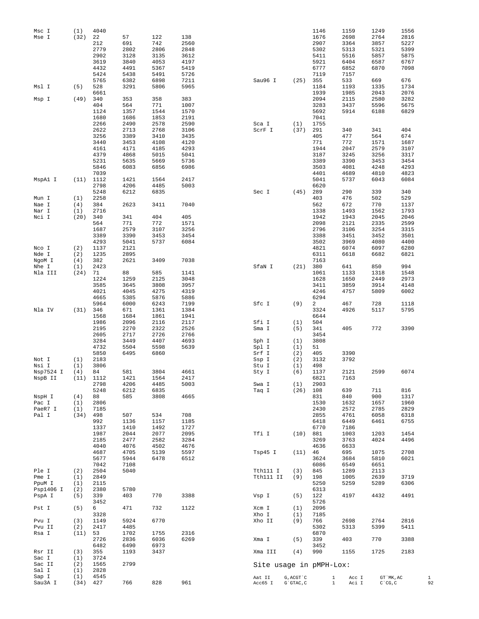| Msc I     | (1)  | 4040          |      |      |      |                         |            | 1146         | 1159  | 1249              | 1556 |
|-----------|------|---------------|------|------|------|-------------------------|------------|--------------|-------|-------------------|------|
| Mse I     | (32) | 22            | 57   | 122  | 138  |                         |            | 1676         | 2698  | 2764              | 2816 |
|           |      | 212           | 691  | 742  | 2560 |                         |            | 2907         | 3364  | 3857              | 5227 |
|           |      | 2779          | 2802 | 2806 | 2848 |                         |            | 5302         | 5313  | 5321              | 5399 |
|           |      | 2902          | 3128 | 3135 | 3612 |                         |            | 5411         | 5516  | 5857              | 5875 |
|           |      | 3619          | 3840 | 4053 | 4197 |                         |            | 5921         | 6404  | 6587              | 6767 |
|           |      | 4432          | 4491 | 5367 | 5419 |                         |            | 6777         | 6852  | 6870              | 7098 |
|           |      | 5424          | 5438 | 5491 | 5726 |                         |            | 7119         | 7157  |                   |      |
|           |      | 5765          | 6382 | 6898 | 7211 | Sau96 I                 | $(25)$ 355 |              | 533   | 669               | 676  |
| Msl I     | (5)  | 528           | 3291 | 5806 | 5965 |                         |            | 1184         | 1193  | 1335              | 1734 |
|           |      | 6661          |      |      |      |                         |            | 1939         | 1985  | 2043              | 2076 |
| Msp I     | (49) | 340           | 353  | 358  | 383  |                         |            | 2094         | 2115  | 2580              | 3282 |
|           |      | 404           | 564  | 771  | 1007 |                         |            | 3283         | 3437  | 5596              | 5675 |
|           |      | 1124          | 1357 | 1544 | 1570 |                         |            | 5692         | 5914  | 6188              | 6829 |
|           |      | 1680          | 1686 | 1853 | 2191 |                         |            | 7041         |       |                   |      |
|           |      | 2266          | 2490 | 2578 | 2590 | Sca I                   | (1)        | 1755         |       |                   |      |
|           |      | 2622          | 2713 | 2768 | 3106 | ScrF I                  | (37)       | 291          | 340   | 341               | 404  |
|           |      | 3256          | 3389 | 3410 | 3435 |                         |            | 405          | 477   | 564               | 674  |
|           |      | 3440          | 3453 | 4108 | 4120 |                         |            | 771          | 772   | 1571              | 1687 |
|           |      | 4161          | 4171 | 4185 | 4293 |                         |            | 1944         | 2047  | 2579              | 3107 |
|           |      | 4379          | 4868 | 5015 | 5041 |                         |            | 3187         | 3245  | 3256              | 3317 |
|           |      | 5231          | 5635 | 5669 | 5736 |                         |            | 3389         | 3390  | 3453              | 3454 |
|           |      | 5846          | 6083 | 6856 | 6986 |                         |            | 3503         | 4081  | 4248              | 4293 |
|           |      | 7039          |      |      |      |                         |            | 4401         | 4689  | 4810              | 4823 |
| MspAl I   | (11) | 1112          | 1421 | 1564 | 2417 |                         |            | 5041         | 5737  | 6043              | 6084 |
|           |      | 2798          | 4206 | 4485 | 5003 |                         |            | 6620         |       |                   |      |
|           |      | 5248          | 6212 | 6835 |      | Sec I                   | (45)       | 289          | 290   | 339               | 340  |
| Mun I     | (1)  | 2258          |      |      |      |                         |            | 403          | 476   | 502               | 529  |
| Nae I     | (4)  | 384           | 2623 | 3411 | 7040 |                         |            | 562          | 672   | 770               | 1137 |
| Nar I     | (1)  | 2716          |      |      |      |                         |            | 1338         | 1493  | 1562              | 1793 |
| Nci I     | (20) | 340           | 341  | 404  | 405  |                         |            | 1942         | 1943  | 2045              | 2046 |
|           |      | 564           | 771  | 772  | 1571 |                         |            | 2098         | 2121  | 2335              | 2599 |
|           |      | 1687          | 2579 | 3107 | 3256 |                         |            | 2796         | 3106  | 3254              | 3315 |
|           |      | 3389          | 3390 | 3453 | 3454 |                         |            | 3388         | 3451  | 3452              | 3501 |
|           |      | 4293          | 5041 | 5737 | 6084 |                         |            | 3502         | 3969  | 4080              | 4400 |
| Nco I     | (2)  | 1137          | 2121 |      |      |                         |            | 4821         | 6074  | 6097              | 6280 |
|           |      |               |      |      |      |                         |            |              |       |                   |      |
| Nde I     | (2)  | 1235          | 2895 |      |      |                         |            | 6311         | 6618  | 6682              | 6821 |
| NgoM I    | (4)  | 382           | 2621 | 3409 | 7038 |                         |            | 7163         |       |                   |      |
| Nhe I     | (1)  | 2423          |      |      |      | SfaN I                  | (21)       | 380          | 641   | 850               | 994  |
| Nla III   | (24) | 71            | 88   | 585  | 1141 |                         |            | 1061         | 1133  | 1318              | 1548 |
|           |      | 1224          | 1259 | 2125 | 3048 |                         |            | 1628         | 1650  | 2449              | 2973 |
|           |      | 3585          | 3645 | 3808 | 3957 |                         |            | 3411         | 3859  | 3914              | 4148 |
|           |      | 4021          | 4045 | 4275 | 4319 |                         |            | 4246         | 4757  | 5809              | 6002 |
|           |      | 4665          | 5385 | 5876 | 5886 |                         |            | 6294         |       |                   |      |
|           |      | 5964          | 6000 | 6243 | 7199 | Sfc I                   | (9)        | 2            | 467   | 728               | 1118 |
| Nla IV    | (31) | 346           | 671  | 1361 | 1384 |                         |            | 3324         | 4926  | 5117              | 5795 |
|           |      | 1568          | 1684 | 1861 | 1941 |                         |            | 6644         |       |                   |      |
|           |      | 1986          | 2096 | 2116 | 2117 | Sfi I                   | (1)        | 504          |       |                   |      |
|           |      | 2195          | 2270 | 2322 | 2526 | Sma I                   | (5)        | 341          | 405   | 772               | 3390 |
|           |      | 2605          | 2717 | 2726 | 2766 |                         |            | 3454         |       |                   |      |
|           |      | 3284          | 3449 | 4407 | 4693 | Sph I                   | (1)        | 3808         |       |                   |      |
|           |      | 4732          | 5504 | 5598 | 5639 | Spl I                   | (1)        | 51           |       |                   |      |
|           |      | 5850          | 6495 | 6860 |      | Srf I                   | (2)        | 405          | 3390  |                   |      |
| Not I     | (1)  | 2183          |      |      |      | Ssp I                   | (2)        | 3132         | 3792  |                   |      |
| Nsi I     | (1)  | 3806          |      |      |      | Stu I                   | (1)        | 498          |       |                   |      |
| Nsp7524 I | (4)  | 84            | 581  | 3804 | 4661 | Sty I                   | (6)        | 1137         | 2121  | 2599              | 6074 |
| NspB II   |      | $(11)$ $1112$ | 1421 | 1564 | 2417 |                         |            | 6821         | 7163  |                   |      |
|           |      | 2798          | 4206 | 4485 | 5003 | Swa I                   | (1)        | 2903         |       |                   |      |
|           |      | 5248          | 6212 | 6835 |      | Taq I                   | (26)       | 108          | 639   | 711               | 816  |
| NspH I    | (4)  | 88            | 585  | 3808 | 4665 |                         |            | 831          | 840   | 900               | 1317 |
| Pac I     | (1)  | 2806          |      |      |      |                         |            | 1530         | 1632  | 1657              | 1960 |
| PaeR7 I   | (1)  | 7185          |      |      |      |                         |            | 2430         | 2572  | 2785              | 2829 |
| Pal I     | (34) | 498           | 507  | 534  | 708  |                         |            | 2855         | 4761  | 6058              | 6318 |
|           |      | 992           | 1136 | 1157 | 1185 |                         |            | 6418         | 6449  | 6461              | 6755 |
|           |      | 1337          | 1410 | 1492 | 1727 |                         |            | 6770         | 7186  |                   |      |
|           |      | 1987          | 2044 | 2077 | 2095 | Tfi I                   | (10)       | 881          | 1003  | 1203              | 1454 |
|           |      | 2185          | 2477 | 2582 | 3284 |                         |            | 3269         | 3763  | 4024              | 4496 |
|           |      | 4040          | 4076 | 4502 | 4676 |                         |            | 4636         | 6633  |                   |      |
|           |      | 4687          | 4705 | 5139 | 5597 | Tsp45 I                 | (11)       | 46           | 695   | 1075              | 2708 |
|           |      | 5677          | 5944 | 6478 | 6512 |                         |            | 3624         | 3684  | 5810              | 6021 |
|           |      | 7042          | 7108 |      |      |                         |            | 6086         | 6549  | 6651              |      |
| Ple I     | (2)  | 2504          | 5040 |      |      | Tth111 I                | (3)        | 845          | 1289  | 2113              |      |
| Pme I     | (1)  | 2849          |      |      |      | Tth111 II               | (9)        | 198          | 1005  | 2639              | 3719 |
| PpuM I    | (1)  | 2115          |      |      |      |                         |            | 5250         | 5259  | 5289              | 6306 |
| Psp1406 I | (2)  | 2380          | 5780 |      |      |                         |            | 6313         |       |                   |      |
|           |      |               | 403  | 770  | 3388 |                         | (5)        | 122          | 4197  | 4432              | 4491 |
| PspA I    | (5)  | 339<br>3452   |      |      |      | Vsp I                   |            | 5726         |       |                   |      |
|           |      |               |      |      |      |                         |            |              |       |                   |      |
| Pst I     | (5)  | 6             | 471  | 732  | 1122 | Xcm I                   | (1)        | 2096         |       |                   |      |
|           |      | 3328          |      |      |      | Xho I                   | (1)        | 7185         |       |                   |      |
| Pvu I     | (3)  | 1149          | 5924 | 6770 |      | Xho II                  | (9)        | 766          | 2698  | 2764              | 2816 |
| Pvu II    | (2)  | 2417          | 4485 |      |      |                         |            | 5302         | 5313  | 5399              | 5411 |
| Rsa I     | (11) | 53            | 1702 | 1755 | 2316 |                         |            | 6870         |       |                   |      |
|           |      | 2726          | 2836 | 6036 | 6269 | Xma I                   | (5)        | 339          | 403   | 770               | 3388 |
|           |      | 6482          | 6490 | 6973 |      |                         |            | 3452         |       |                   |      |
| Rsr II    | (3)  | 355           | 1193 | 3437 |      | Xma III                 | (4)        | 990          | 1155  | 1725              | 2183 |
| Sac I     | (1)  | 3724          |      |      |      |                         |            |              |       |                   |      |
| Sac II    | (2)  | 1565          | 2799 |      |      | Site usage in pMPH-Lox: |            |              |       |                   |      |
| Sal I     | (1)  | 2828          |      |      |      |                         |            |              |       |                   |      |
| Sap I     | (1)  | 4545          |      |      |      | Aat II                  | G, ACGT `C | $\mathbf{1}$ | Acc I | GT `MK, AC        |      |
| Sau3A I   | (34) | 427           | 766  | 828  | 961  | Acc65 I                 | G`GTAC, C  | $\mathbf{1}$ | Aci I | $C^{\wedge}CG, C$ |      |

 $\begin{array}{c} 1 \\ 92 \end{array}$